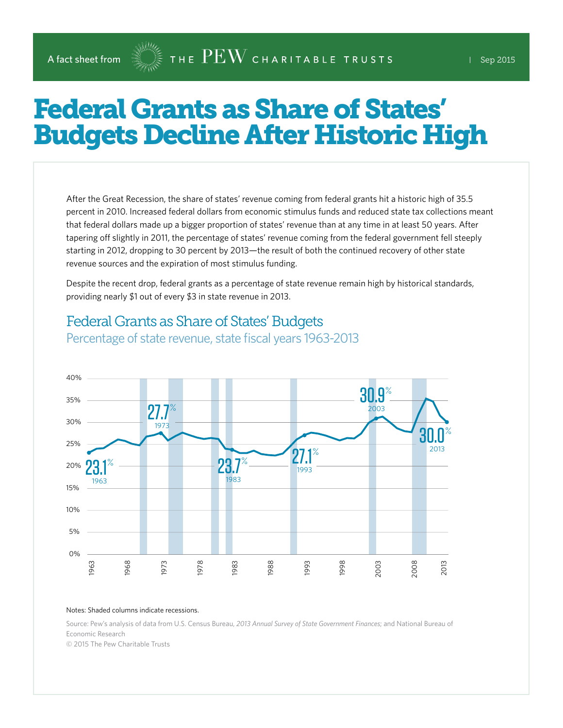# Federal Grants as Share of States' Budgets Decline After Historic High

After the Great Recession, the share of states' revenue coming from federal grants hit a historic high of 35.5 percent in 2010. Increased federal dollars from economic stimulus funds and reduced state tax collections meant that federal dollars made up a bigger proportion of states' revenue than at any time in at least 50 years. After tapering off slightly in 2011, the percentage of states' revenue coming from the federal government fell steeply starting in 2012, dropping to 30 percent by 2013—the result of both the continued recovery of other state revenue sources and the expiration of most stimulus funding.

Despite the recent drop, federal grants as a percentage of state revenue remain high by historical standards, providing nearly \$1 out of every \$3 in state revenue in 2013.

#### 0% 5% 10% 15% 20% 25% 30% 35% 40% 1963 1968 1973 1978 1983 1988 1993 1998 2003 2008 2013 23.1 1963  $\%$ 27.7 % 1973 23.7 1983  $\sim$  27.1 1993  $\%$ 30.9 2003  $\%$ 30.0 2013  $\%$

## Federal Grants as Share of States' Budgets

Percentage of state revenue, state fiscal years 1963-2013

#### Notes: Shaded columns indicate recessions.

Source: Pew's analysis of data from U.S. Census Bureau, *2013 Annual Survey of State Government Finances*; and National Bureau of Economic Research

© 2015 The Pew Charitable Trusts